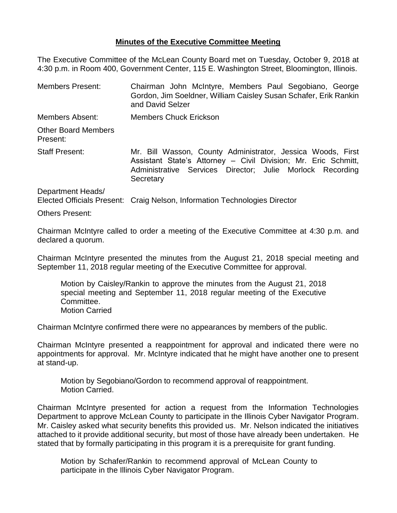## **Minutes of the Executive Committee Meeting**

The Executive Committee of the McLean County Board met on Tuesday, October 9, 2018 at 4:30 p.m. in Room 400, Government Center, 115 E. Washington Street, Bloomington, Illinois.

Members Present: Chairman John McIntyre, Members Paul Segobiano, George Gordon, Jim Soeldner, William Caisley Susan Schafer, Erik Rankin and David Selzer Members Absent: Members Chuck Erickson Other Board Members Present: Staff Present: Mr. Bill Wasson, County Administrator, Jessica Woods, First Assistant State's Attorney – Civil Division; Mr. Eric Schmitt, Administrative Services Director; Julie Morlock Recording **Secretary** Department Heads/

Elected Officials Present: Craig Nelson, Information Technologies Director

Others Present:

Chairman McIntyre called to order a meeting of the Executive Committee at 4:30 p.m. and declared a quorum.

Chairman McIntyre presented the minutes from the August 21, 2018 special meeting and September 11, 2018 regular meeting of the Executive Committee for approval.

Motion by Caisley/Rankin to approve the minutes from the August 21, 2018 special meeting and September 11, 2018 regular meeting of the Executive Committee. Motion Carried

Chairman McIntyre confirmed there were no appearances by members of the public.

Chairman McIntyre presented a reappointment for approval and indicated there were no appointments for approval. Mr. McIntyre indicated that he might have another one to present at stand-up.

Motion by Segobiano/Gordon to recommend approval of reappointment. Motion Carried.

Chairman McIntyre presented for action a request from the Information Technologies Department to approve McLean County to participate in the Illinois Cyber Navigator Program. Mr. Caisley asked what security benefits this provided us. Mr. Nelson indicated the initiatives attached to it provide additional security, but most of those have already been undertaken. He stated that by formally participating in this program it is a prerequisite for grant funding.

Motion by Schafer/Rankin to recommend approval of McLean County to participate in the Illinois Cyber Navigator Program.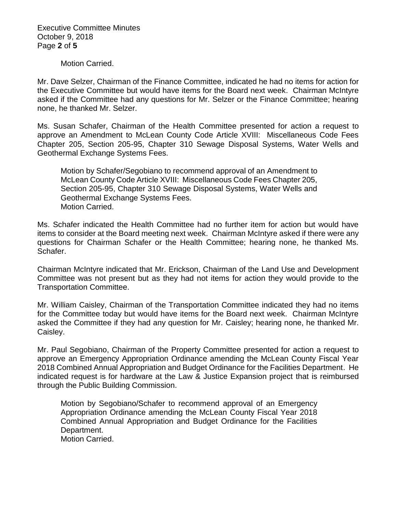Executive Committee Minutes October 9, 2018 Page **2** of **5**

Motion Carried.

Mr. Dave Selzer, Chairman of the Finance Committee, indicated he had no items for action for the Executive Committee but would have items for the Board next week. Chairman McIntyre asked if the Committee had any questions for Mr. Selzer or the Finance Committee; hearing none, he thanked Mr. Selzer.

Ms. Susan Schafer, Chairman of the Health Committee presented for action a request to approve an Amendment to McLean County Code Article XVIII: Miscellaneous Code Fees Chapter 205, Section 205-95, Chapter 310 Sewage Disposal Systems, Water Wells and Geothermal Exchange Systems Fees.

Motion by Schafer/Segobiano to recommend approval of an Amendment to McLean County Code Article XVIII: Miscellaneous Code Fees Chapter 205, Section 205-95, Chapter 310 Sewage Disposal Systems, Water Wells and Geothermal Exchange Systems Fees. Motion Carried.

Ms. Schafer indicated the Health Committee had no further item for action but would have items to consider at the Board meeting next week. Chairman McIntyre asked if there were any questions for Chairman Schafer or the Health Committee; hearing none, he thanked Ms. Schafer.

Chairman McIntyre indicated that Mr. Erickson, Chairman of the Land Use and Development Committee was not present but as they had not items for action they would provide to the Transportation Committee.

Mr. William Caisley, Chairman of the Transportation Committee indicated they had no items for the Committee today but would have items for the Board next week. Chairman McIntyre asked the Committee if they had any question for Mr. Caisley; hearing none, he thanked Mr. Caisley.

Mr. Paul Segobiano, Chairman of the Property Committee presented for action a request to approve an Emergency Appropriation Ordinance amending the McLean County Fiscal Year 2018 Combined Annual Appropriation and Budget Ordinance for the Facilities Department. He indicated request is for hardware at the Law & Justice Expansion project that is reimbursed through the Public Building Commission.

Motion by Segobiano/Schafer to recommend approval of an Emergency Appropriation Ordinance amending the McLean County Fiscal Year 2018 Combined Annual Appropriation and Budget Ordinance for the Facilities Department. Motion Carried.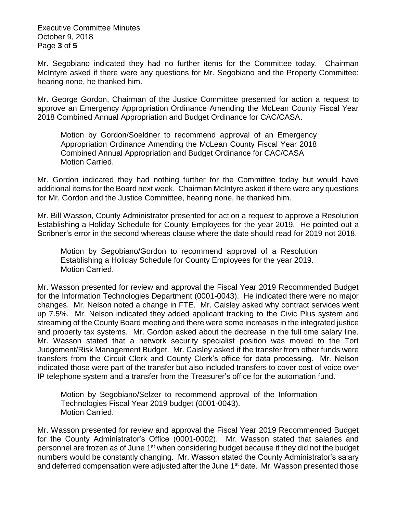Executive Committee Minutes October 9, 2018 Page **3** of **5**

Mr. Segobiano indicated they had no further items for the Committee today. Chairman McIntyre asked if there were any questions for Mr. Segobiano and the Property Committee; hearing none, he thanked him.

Mr. George Gordon, Chairman of the Justice Committee presented for action a request to approve an Emergency Appropriation Ordinance Amending the McLean County Fiscal Year 2018 Combined Annual Appropriation and Budget Ordinance for CAC/CASA.

Motion by Gordon/Soeldner to recommend approval of an Emergency Appropriation Ordinance Amending the McLean County Fiscal Year 2018 Combined Annual Appropriation and Budget Ordinance for CAC/CASA Motion Carried.

Mr. Gordon indicated they had nothing further for the Committee today but would have additional items for the Board next week. Chairman McIntyre asked if there were any questions for Mr. Gordon and the Justice Committee, hearing none, he thanked him.

Mr. Bill Wasson, County Administrator presented for action a request to approve a Resolution Establishing a Holiday Schedule for County Employees for the year 2019. He pointed out a Scribner's error in the second whereas clause where the date should read for 2019 not 2018.

Motion by Segobiano/Gordon to recommend approval of a Resolution Establishing a Holiday Schedule for County Employees for the year 2019. Motion Carried.

Mr. Wasson presented for review and approval the Fiscal Year 2019 Recommended Budget for the Information Technologies Department (0001-0043). He indicated there were no major changes. Mr. Nelson noted a change in FTE. Mr. Caisley asked why contract services went up 7.5%. Mr. Nelson indicated they added applicant tracking to the Civic Plus system and streaming of the County Board meeting and there were some increases in the integrated justice and property tax systems. Mr. Gordon asked about the decrease in the full time salary line. Mr. Wasson stated that a network security specialist position was moved to the Tort Judgement/Risk Management Budget. Mr. Caisley asked if the transfer from other funds were transfers from the Circuit Clerk and County Clerk's office for data processing. Mr. Nelson indicated those were part of the transfer but also included transfers to cover cost of voice over IP telephone system and a transfer from the Treasurer's office for the automation fund.

Motion by Segobiano/Selzer to recommend approval of the Information Technologies Fiscal Year 2019 budget (0001-0043). Motion Carried.

Mr. Wasson presented for review and approval the Fiscal Year 2019 Recommended Budget for the County Administrator's Office (0001-0002). Mr. Wasson stated that salaries and personnel are frozen as of June 1<sup>st</sup> when considering budget because if they did not the budget numbers would be constantly changing. Mr. Wasson stated the County Administrator's salary and deferred compensation were adjusted after the June 1<sup>st</sup> date. Mr. Wasson presented those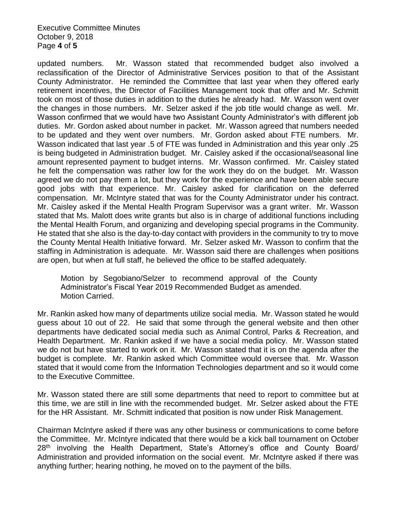Executive Committee Minutes October 9, 2018 Page **4** of **5**

updated numbers. Mr. Wasson stated that recommended budget also involved a reclassification of the Director of Administrative Services position to that of the Assistant County Administrator. He reminded the Committee that last year when they offered early retirement incentives, the Director of Facilities Management took that offer and Mr. Schmitt took on most of those duties in addition to the duties he already had. Mr. Wasson went over the changes in those numbers. Mr. Selzer asked if the job title would change as well. Mr. Wasson confirmed that we would have two Assistant County Administrator's with different job duties. Mr. Gordon asked about number in packet. Mr. Wasson agreed that numbers needed to be updated and they went over numbers. Mr. Gordon asked about FTE numbers. Mr. Wasson indicated that last year .5 of FTE was funded in Administration and this year only .25 is being budgeted in Administration budget. Mr. Caisley asked if the occasional/seasonal line amount represented payment to budget interns. Mr. Wasson confirmed. Mr. Caisley stated he felt the compensation was rather low for the work they do on the budget. Mr. Wasson agreed we do not pay them a lot, but they work for the experience and have been able secure good jobs with that experience. Mr. Caisley asked for clarification on the deferred compensation. Mr. McIntyre stated that was for the County Administrator under his contract. Mr. Caisley asked if the Mental Health Program Supervisor was a grant writer. Mr. Wasson stated that Ms. Malott does write grants but also is in charge of additional functions including the Mental Health Forum, and organizing and developing special programs in the Community. He stated that she also is the day-to-day contact with providers in the community to try to move the County Mental Health Initiative forward. Mr. Selzer asked Mr. Wasson to confirm that the staffing in Administration is adequate. Mr. Wasson said there are challenges when positions are open, but when at full staff, he believed the office to be staffed adequately.

Motion by Segobiano/Selzer to recommend approval of the County Administrator's Fiscal Year 2019 Recommended Budget as amended. Motion Carried.

Mr. Rankin asked how many of departments utilize social media. Mr. Wasson stated he would guess about 10 out of 22. He said that some through the general website and then other departments have dedicated social media such as Animal Control, Parks & Recreation, and Health Department. Mr. Rankin asked if we have a social media policy. Mr. Wasson stated we do not but have started to work on it. Mr. Wasson stated that it is on the agenda after the budget is complete. Mr. Rankin asked which Committee would oversee that. Mr. Wasson stated that it would come from the Information Technologies department and so it would come to the Executive Committee.

Mr. Wasson stated there are still some departments that need to report to committee but at this time, we are still in line with the recommended budget. Mr. Selzer asked about the FTE for the HR Assistant. Mr. Schmitt indicated that position is now under Risk Management.

Chairman McIntyre asked if there was any other business or communications to come before the Committee. Mr. McIntyre indicated that there would be a kick ball tournament on October 28<sup>th</sup> involving the Health Department, State's Attorney's office and County Board/ Administration and provided information on the social event. Mr. McIntyre asked if there was anything further; hearing nothing, he moved on to the payment of the bills.